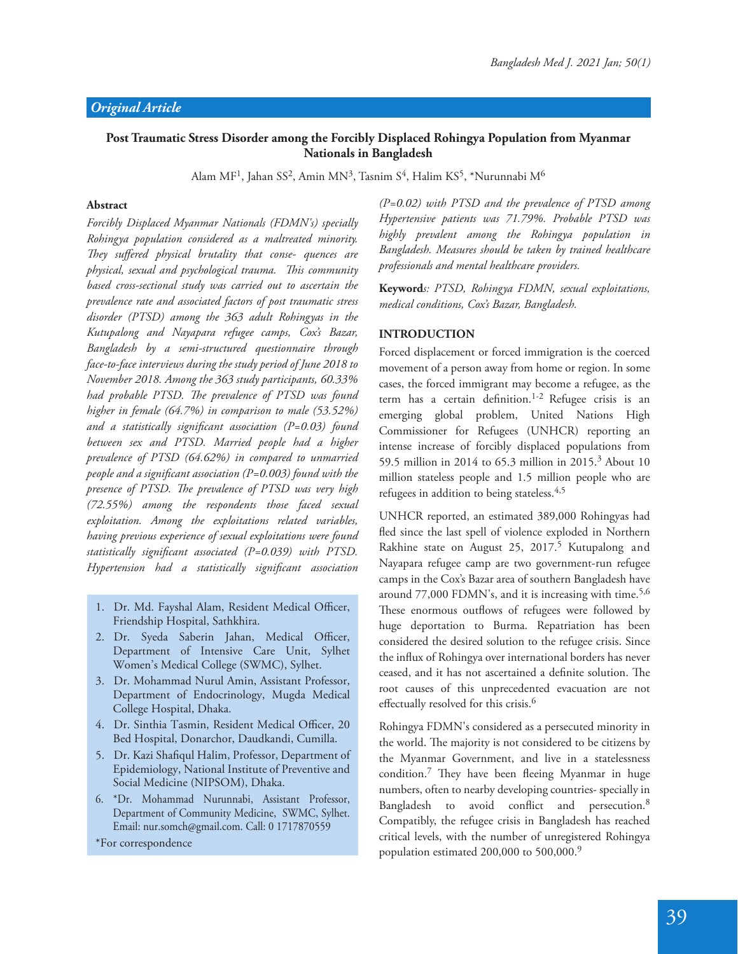## **Post Traumatic Stress Disorder among the Forcibly Displaced Rohingya Population from Myanmar Nationals in Bangladesh**

Alam MF<sup>1</sup>, Jahan SS<sup>2</sup>, Amin MN<sup>3</sup>, Tasnim S<sup>4</sup>, Halim KS<sup>5</sup>, \*Nurunnabi M<sup>6</sup>

#### **Abstract**

*Forcibly Displaced Myanmar Nationals (FDMN's) specially Rohingya population considered as a maltreated minority.*  They suffered physical brutality that conse- quences are *physical, sexual and psychological trauma. !is community based cross-sectional study was carried out to ascertain the prevalence rate and associated factors of post traumatic stress disorder (PTSD) among the 363 adult Rohingyas in the Kutupalong and Nayapara refugee camps, Cox's Bazar, Bangladesh by a semi-structured questionnaire through face-to-face interviews during the study period of June 2018 to November 2018. Among the 363 study participants, 60.33% had probable PTSD. The prevalence of PTSD was found higher in female (64.7%) in comparison to male (53.52%)*  and a statistically significant association (P=0.03) found *between sex and PTSD. Married people had a higher prevalence of PTSD (64.62%) in compared to unmarried people and a significant association (P=0.003) found with the* presence of PTSD. The prevalence of PTSD was very high *(72.55%) among the respondents those faced sexual exploitation. Among the exploitations related variables, having previous experience of sexual exploitations were found*  statistically significant associated (P=0.039) with PTSD. Hypertension had a statistically significant association

- 1. Dr. Md. Fayshal Alam, Resident Medical Officer, Friendship Hospital, Sathkhira.
- 2. Dr. Syeda Saberin Jahan, Medical Officer, Department of Intensive Care Unit, Sylhet Women's Medical College (SWMC), Sylhet.
- 3. Dr. Mohammad Nurul Amin, Assistant Professor, Department of Endocrinology, Mugda Medical College Hospital, Dhaka.
- 4. Dr. Sinthia Tasmin, Resident Medical Officer, 20 Bed Hospital, Donarchor, Daudkandi, Cumilla.
- 5. Dr. Kazi Shafiqul Halim, Professor, Department of Epidemiology, National Institute of Preventive and Social Medicine (NIPSOM), Dhaka.
- 6. \*Dr. Mohammad Nurunnabi, Assistant Professor, Department of Community Medicine, SWMC, Sylhet. Email: nur.somch@gmail.com. Call: 0 1717870559

\*For correspondence

*(P=0.02) with PTSD and the prevalence of PTSD among Hypertensive patients was 71.79%. Probable PTSD was highly prevalent among the Rohingya population in Bangladesh. Measures should be taken by trained healthcare professionals and mental healthcare providers.*

**Keyword***s: PTSD, Rohingya FDMN, sexual exploitations, medical conditions, Cox's Bazar, Bangladesh.*

#### **INTRODUCTION**

Forced displacement or forced immigration is the coerced movement of a person away from home or region. In some cases, the forced immigrant may become a refugee, as the term has a certain definition.<sup>1-2</sup> Refugee crisis is an emerging global problem, United Nations High Commissioner for Refugees (UNHCR) reporting an intense increase of forcibly displaced populations from 59.5 million in 2014 to 65.3 million in 2015.<sup>3</sup> About 10 million stateless people and 1.5 million people who are refugees in addition to being stateless.<sup>4,5</sup>

UNHCR reported, an estimated 389,000 Rohingyas had fled since the last spell of violence exploded in Northern Rakhine state on August 25, 2017.<sup>5</sup> Kutupalong and Nayapara refugee camp are two government-run refugee camps in the Cox's Bazar area of southern Bangladesh have around 77,000 FDMN's, and it is increasing with time.<sup>5,6</sup> These enormous outflows of refugees were followed by huge deportation to Burma. Repatriation has been considered the desired solution to the refugee crisis. Since the influx of Rohingya over international borders has never ceased, and it has not ascertained a definite solution. The root causes of this unprecedented evacuation are not effectually resolved for this crisis. $6$ 

Rohingya FDMN's considered as a persecuted minority in the world. The majority is not considered to be citizens by the Myanmar Government, and live in a statelessness condition.<sup>7</sup> They have been fleeing Myanmar in huge numbers, often to nearby developing countries- specially in Bangladesh to avoid conflict and persecution.<sup>8</sup> Compatibly, the refugee crisis in Bangladesh has reached critical levels, with the number of unregistered Rohingya population estimated 200,000 to 500,000.<sup>9</sup>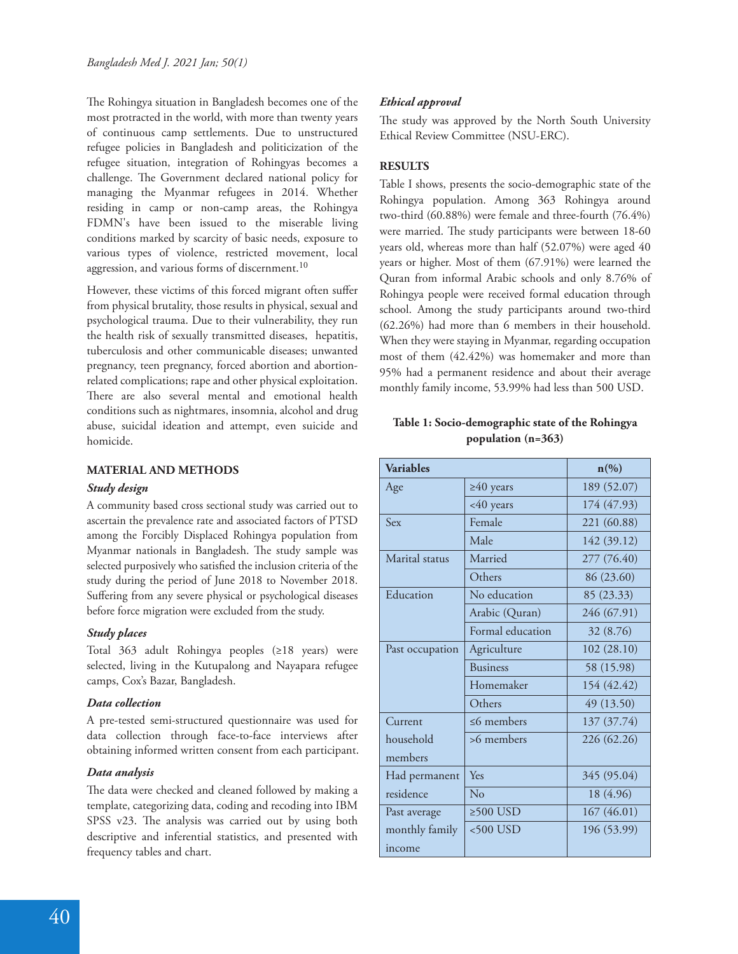The Rohingya situation in Bangladesh becomes one of the most protracted in the world, with more than twenty years of continuous camp settlements. Due to unstructured refugee policies in Bangladesh and politicization of the refugee situation, integration of Rohingyas becomes a challenge. The Government declared national policy for managing the Myanmar refugees in 2014. Whether residing in camp or non-camp areas, the Rohingya FDMN's have been issued to the miserable living conditions marked by scarcity of basic needs, exposure to various types of violence, restricted movement, local aggression, and various forms of discernment.<sup>10</sup>

However, these victims of this forced migrant often suffer from physical brutality, those results in physical, sexual and psychological trauma. Due to their vulnerability, they run the health risk of sexually transmitted diseases, hepatitis, tuberculosis and other communicable diseases; unwanted pregnancy, teen pregnancy, forced abortion and abortionrelated complications; rape and other physical exploitation. There are also several mental and emotional health conditions such as nightmares, insomnia, alcohol and drug abuse, suicidal ideation and attempt, even suicide and homicide.

## **MATERIAL AND METHODS**

#### *Study design*

A community based cross sectional study was carried out to ascertain the prevalence rate and associated factors of PTSD among the Forcibly Displaced Rohingya population from Myanmar nationals in Bangladesh. The study sample was selected purposively who satisfied the inclusion criteria of the study during the period of June 2018 to November 2018. Suffering from any severe physical or psychological diseases before force migration were excluded from the study.

#### *Study places*

Total 363 adult Rohingya peoples (≥18 years) were selected, living in the Kutupalong and Nayapara refugee camps, Cox's Bazar, Bangladesh.

#### *Data collection*

A pre-tested semi-structured questionnaire was used for data collection through face-to-face interviews after obtaining informed written consent from each participant.

#### *Data analysis*

The data were checked and cleaned followed by making a template, categorizing data, coding and recoding into IBM SPSS v23. The analysis was carried out by using both descriptive and inferential statistics, and presented with frequency tables and chart.

## *Ethical approval*

The study was approved by the North South University Ethical Review Committee (NSU-ERC).

## **RESULTS**

Table I shows, presents the socio-demographic state of the Rohingya population. Among 363 Rohingya around two-third (60.88%) were female and three-fourth (76.4%) were married. The study participants were between 18-60 years old, whereas more than half (52.07%) were aged 40 years or higher. Most of them (67.91%) were learned the Quran from informal Arabic schools and only 8.76% of Rohingya people were received formal education through school. Among the study participants around two-third (62.26%) had more than 6 members in their household. When they were staying in Myanmar, regarding occupation most of them (42.42%) was homemaker and more than 95% had a permanent residence and about their average monthly family income, 53.99% had less than 500 USD.

## **Table 1: Socio-demographic state of the Rohingya population (n=363)**

| <b>Variables</b>         |                  | $n\left(\%\right)$ |
|--------------------------|------------------|--------------------|
| Age                      | $\geq 40$ years  | 189 (52.07)        |
|                          | <40 years        | 174 (47.93)        |
| Sex                      | Female           | 221 (60.88)        |
|                          | Male             | 142 (39.12)        |
| Marital status           | Married          | 277 (76.40)        |
|                          | Others           | 86 (23.60)         |
| Education                | No education     | 85 (23.33)         |
|                          | Arabic (Quran)   | 246 (67.91)        |
|                          | Formal education | 32 (8.76)          |
| Past occupation          | Agriculture      | 102(28.10)         |
|                          | <b>Business</b>  | 58 (15.98)         |
|                          | Homemaker        | 154 (42.42)        |
|                          | Others           | 49 (13.50)         |
| Current                  | $\leq$ 6 members | 137 (37.74)        |
| household<br>members     | >6 members       | 226 (62.26)        |
| Had permanent            | Yes              | 345 (95.04)        |
| residence                | No               | 18 (4.96)          |
| Past average             | $≥500$ USD       | 167(46.01)         |
| monthly family<br>income | $<$ 500 USD      | 196 (53.99)        |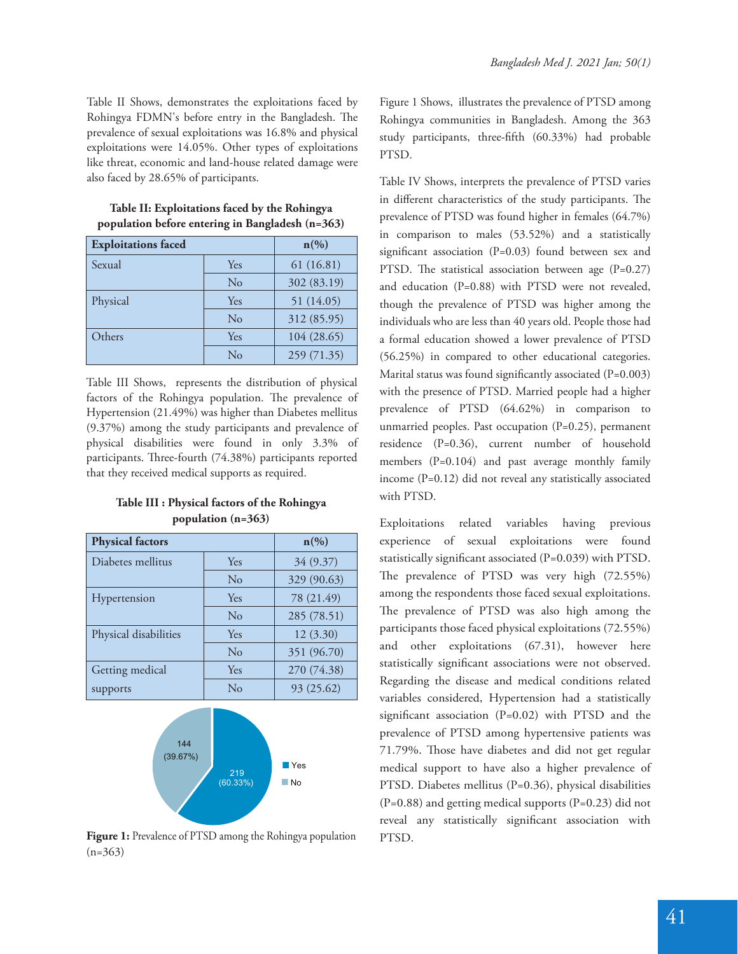Table II Shows, demonstrates the exploitations faced by Rohingya FDMN's before entry in the Bangladesh. The prevalence of sexual exploitations was 16.8% and physical exploitations were 14.05%. Other types of exploitations like threat, economic and land-house related damage were also faced by 28.65% of participants.

| <b>Exploitations faced</b> |          | $n\left(\%\right)$ |  |
|----------------------------|----------|--------------------|--|
| Sexual                     | Yes      | 61(16.81)          |  |
|                            | $\rm No$ | 302 (83.19)        |  |
| Physical                   | Yes      | 51 (14.05)         |  |
|                            | No       | 312 (85.95)        |  |
| Others                     | Yes      | 104 (28.65)        |  |
|                            | $\rm No$ | 259 (71.35)        |  |

**Table II: Exploitations faced by the Rohingya population before entering in Bangladesh (n=363)**

Table III Shows, represents the distribution of physical factors of the Rohingya population. The prevalence of Hypertension (21.49%) was higher than Diabetes mellitus (9.37%) among the study participants and prevalence of physical disabilities were found in only 3.3% of participants. Three-fourth (74.38%) participants reported that they received medical supports as required.

**Table III : Physical factors of the Rohingya population (n=363)**

| <b>Physical factors</b> |     | $n\left(\%\right)$ |
|-------------------------|-----|--------------------|
| Diabetes mellitus       | Yes | 34 (9.37)          |
|                         | No  | 329 (90.63)        |
| Hypertension            | Yes | 78 (21.49)         |
|                         | No  | 285 (78.51)        |
| Physical disabilities   | Yes | 12(3.30)           |
|                         | No  | 351 (96.70)        |
| Getting medical         | Yes | 270 (74.38)        |
| supports                | No  | 93 (25.62)         |



**Figure 1:** Prevalence of PTSD among the Rohingya population  $(n=363)$ 

Figure 1 Shows, illustrates the prevalence of PTSD among Rohingya communities in Bangladesh. Among the 363 study participants, three-fifth  $(60.33\%)$  had probable PTSD.

Table IV Shows, interprets the prevalence of PTSD varies in different characteristics of the study participants. The prevalence of PTSD was found higher in females (64.7%) in comparison to males (53.52%) and a statistically significant association  $(P=0.03)$  found between sex and PTSD. The statistical association between age  $(P=0.27)$ and education (P=0.88) with PTSD were not revealed, though the prevalence of PTSD was higher among the individuals who are less than 40 years old. People those had a formal education showed a lower prevalence of PTSD (56.25%) in compared to other educational categories. Marital status was found significantly associated  $(P=0.003)$ with the presence of PTSD. Married people had a higher prevalence of PTSD (64.62%) in comparison to unmarried peoples. Past occupation (P=0.25), permanent residence (P=0.36), current number of household members (P=0.104) and past average monthly family income (P=0.12) did not reveal any statistically associated with PTSD.

Exploitations related variables having previous experience of sexual exploitations were found statistically significant associated  $(P=0.039)$  with PTSD. The prevalence of PTSD was very high (72.55%) among the respondents those faced sexual exploitations. The prevalence of PTSD was also high among the participants those faced physical exploitations (72.55%) and other exploitations (67.31), however here statistically significant associations were not observed. Regarding the disease and medical conditions related variables considered, Hypertension had a statistically significant association  $(P=0.02)$  with PTSD and the prevalence of PTSD among hypertensive patients was 71.79%. Those have diabetes and did not get regular medical support to have also a higher prevalence of PTSD. Diabetes mellitus (P=0.36), physical disabilities (P=0.88) and getting medical supports (P=0.23) did not reveal any statistically significant association with PTSD.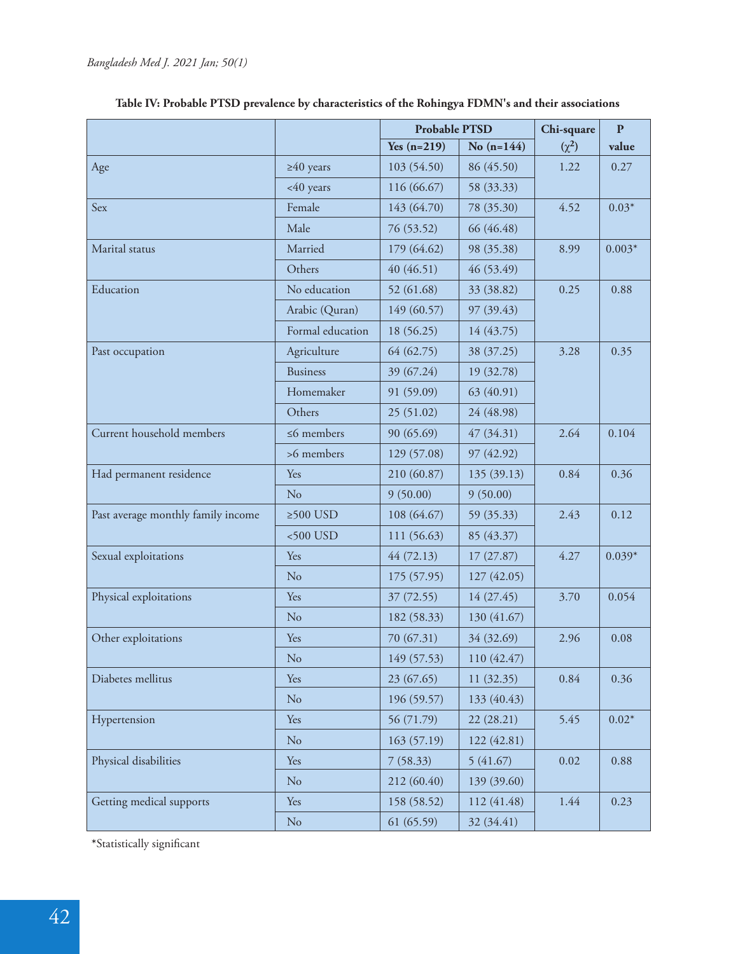|                                    |                  | <b>Probable PTSD</b> |              | Chi-square | $\mathbf{P}$ |
|------------------------------------|------------------|----------------------|--------------|------------|--------------|
|                                    |                  | Yes $(n=219)$        | No $(n=144)$ | $(\chi^2)$ | value        |
| Age                                | $\geq 40$ years  | 103 (54.50)          | 86 (45.50)   | 1.22       | 0.27         |
|                                    | <40 years        | 116 (66.67)          | 58 (33.33)   |            |              |
| Sex                                | Female           | 143 (64.70)          | 78 (35.30)   | 4.52       | $0.03*$      |
|                                    | Male             | 76 (53.52)           | 66 (46.48)   |            |              |
| Marital status                     | Married          | 179 (64.62)          | 98 (35.38)   | 8.99       | $0.003*$     |
|                                    | Others           | 40 (46.51)           | 46(53.49)    |            |              |
| Education                          | No education     | 52 (61.68)           | 33 (38.82)   | 0.25       | 0.88         |
|                                    | Arabic (Quran)   | 149 (60.57)          | 97 (39.43)   |            |              |
|                                    | Formal education | 18 (56.25)           | 14 (43.75)   |            |              |
| Past occupation                    | Agriculture      | 64 (62.75)           | 38 (37.25)   | 3.28       | 0.35         |
|                                    | <b>Business</b>  | 39 (67.24)           | 19 (32.78)   |            |              |
|                                    | Homemaker        | 91 (59.09)           | 63 (40.91)   |            |              |
|                                    | Others           | 25(51.02)            | 24 (48.98)   |            |              |
| Current household members          | $\leq$ 6 members | 90 (65.69)           | 47(34.31)    | 2.64       | 0.104        |
|                                    | >6 members       | 129 (57.08)          | 97 (42.92)   |            |              |
| Had permanent residence            | Yes              | 210 (60.87)          | 135 (39.13)  | 0.84       | 0.36         |
|                                    | No               | 9(50.00)             | 9(50.00)     |            |              |
| Past average monthly family income | $\geq 500$ USD   | 108 (64.67)          | 59 (35.33)   | 2.43       | 0.12         |
|                                    | $<500$ USD       | 111 (56.63)          | 85 (43.37)   |            |              |
| Sexual exploitations               | Yes              | 44(72.13)            | 17(27.87)    | 4.27       | $0.039*$     |
|                                    | No               | 175 (57.95)          | 127(42.05)   |            |              |
| Physical exploitations             | Yes              | 37 (72.55)           | 14(27.45)    | 3.70       | 0.054        |
|                                    | N <sub>o</sub>   | 182 (58.33)          | 130 (41.67)  |            |              |
| Other exploitations                | Yes              | 70 (67.31)           | 34 (32.69)   | 2.96       | 0.08         |
|                                    | No               | 149 (57.53)          | 110 (42.47)  |            |              |
| Diabetes mellitus                  | Yes              | 23(67.65)            | 11 (32.35)   | 0.84       | 0.36         |
|                                    | No               | 196 (59.57)          | 133 (40.43)  |            |              |
| Hypertension                       | Yes              | 56 (71.79)           | 22(28.21)    | 5.45       | $0.02*$      |
|                                    | No               | 163(57.19)           | 122 (42.81)  |            |              |
| Physical disabilities              | Yes              | 7(58.33)             | 5(41.67)     | 0.02       | 0.88         |
|                                    | N <sub>o</sub>   | 212 (60.40)          | 139 (39.60)  |            |              |
| Getting medical supports           | Yes              | 158 (58.52)          | 112 (41.48)  | 1.44       | 0.23         |
|                                    | No               | 61(65.59)            | 32 (34.41)   |            |              |

| Table IV: Probable PTSD prevalence by characteristics of the Rohingya FDMN's and their associations |  |  |  |  |  |
|-----------------------------------------------------------------------------------------------------|--|--|--|--|--|
|-----------------------------------------------------------------------------------------------------|--|--|--|--|--|

\*Statistically significant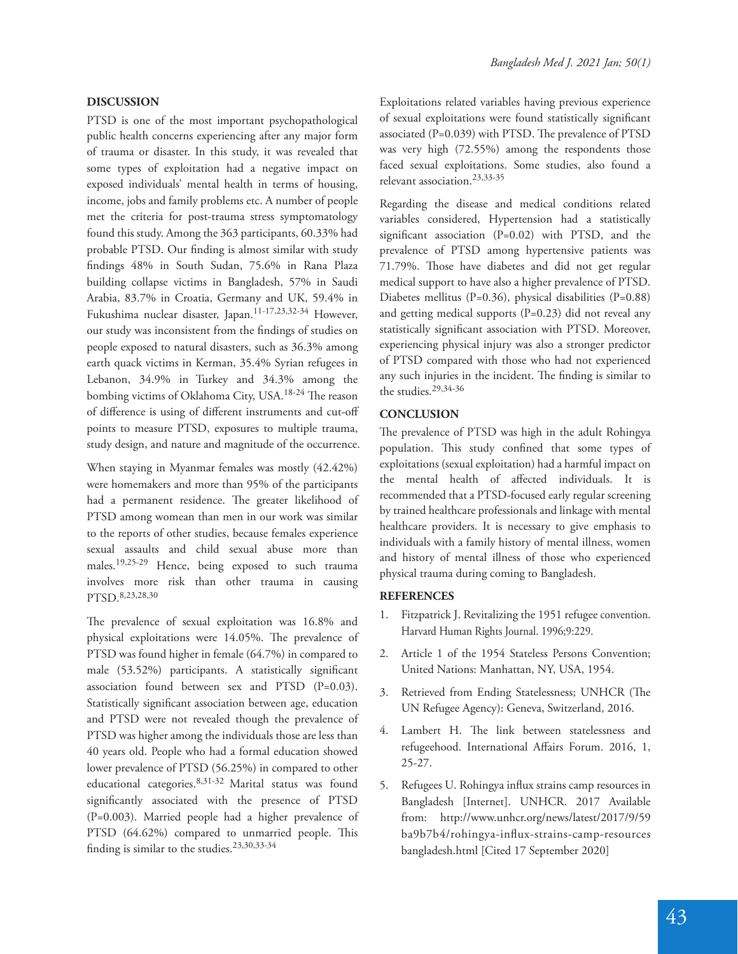# 43

## **DISCUSSION**

PTSD is one of the most important psychopathological public health concerns experiencing after any major form of trauma or disaster. In this study, it was revealed that some types of exploitation had a negative impact on exposed individuals' mental health in terms of housing, income, jobs and family problems etc. A number of people met the criteria for post-trauma stress symptomatology found this study. Among the 363 participants, 60.33% had probable PTSD. Our finding is almost similar with study findings 48% in South Sudan, 75.6% in Rana Plaza building collapse victims in Bangladesh, 57% in Saudi Arabia, 83.7% in Croatia, Germany and UK, 59.4% in Fukushima nuclear disaster, Japan.11-17,23,32-34 However, our study was inconsistent from the findings of studies on people exposed to natural disasters, such as 36.3% among earth quack victims in Kerman, 35.4% Syrian refugees in Lebanon, 34.9% in Turkey and 34.3% among the bombing victims of Oklahoma City, USA.<sup>18-24</sup> The reason of difference is using of different instruments and cut-off points to measure PTSD, exposures to multiple trauma, study design, and nature and magnitude of the occurrence.

When staying in Myanmar females was mostly (42.42%) were homemakers and more than 95% of the participants had a permanent residence. The greater likelihood of PTSD among womean than men in our work was similar to the reports of other studies, because females experience sexual assaults and child sexual abuse more than males.19,25-29 Hence, being exposed to such trauma involves more risk than other trauma in causing PTSD.8,23,28,30

The prevalence of sexual exploitation was 16.8% and physical exploitations were 14.05%. The prevalence of PTSD was found higher in female (64.7%) in compared to male  $(53.52\%)$  participants. A statistically significant association found between sex and PTSD (P=0.03). Statistically significant association between age, education and PTSD were not revealed though the prevalence of PTSD was higher among the individuals those are less than 40 years old. People who had a formal education showed lower prevalence of PTSD (56.25%) in compared to other educational categories.8,31-32 Marital status was found significantly associated with the presence of PTSD (P=0.003). Married people had a higher prevalence of PTSD (64.62%) compared to unmarried people. This finding is similar to the studies.<sup>23,30,33-34</sup>

Exploitations related variables having previous experience of sexual exploitations were found statistically significant associated  $(P=0.039)$  with PTSD. The prevalence of PTSD was very high (72.55%) among the respondents those faced sexual exploitations. Some studies, also found a relevant association.23,33-35

Regarding the disease and medical conditions related variables considered, Hypertension had a statistically significant association  $(P=0.02)$  with PTSD, and the prevalence of PTSD among hypertensive patients was 71.79%. Those have diabetes and did not get regular medical support to have also a higher prevalence of PTSD. Diabetes mellitus (P=0.36), physical disabilities (P=0.88) and getting medical supports (P=0.23) did not reveal any statistically significant association with PTSD. Moreover, experiencing physical injury was also a stronger predictor of PTSD compared with those who had not experienced any such injuries in the incident. The finding is similar to the studies.29,34-36

## **CONCLUSION**

The prevalence of PTSD was high in the adult Rohingya population. This study confined that some types of exploitations (sexual exploitation) had a harmful impact on the mental health of affected individuals. It is recommended that a PTSD-focused early regular screening by trained healthcare professionals and linkage with mental healthcare providers. It is necessary to give emphasis to individuals with a family history of mental illness, women and history of mental illness of those who experienced physical trauma during coming to Bangladesh.

## **REFERENCES**

- 1. Fitzpatrick J. Revitalizing the 1951 refugee convention. Harvard Human Rights Journal. 1996;9:229.
- 2. Article 1 of the 1954 Stateless Persons Convention; United Nations: Manhattan, NY, USA, 1954.
- 3. Retrieved from Ending Statelessness; UNHCR (The UN Refugee Agency): Geneva, Switzerland, 2016.
- 4. Lambert H. The link between statelessness and refugeehood. International Affairs Forum. 2016, 1, 25-27.
- 5. Refugees U. Rohingya influx strains camp resources in Bangladesh [Internet]. UNHCR. 2017 Available from: http://www.unhcr.org/news/latest/2017/9/59 ba9b7b4/rohingya-influx-strains-camp-resources bangladesh.html [Cited 17 September 2020]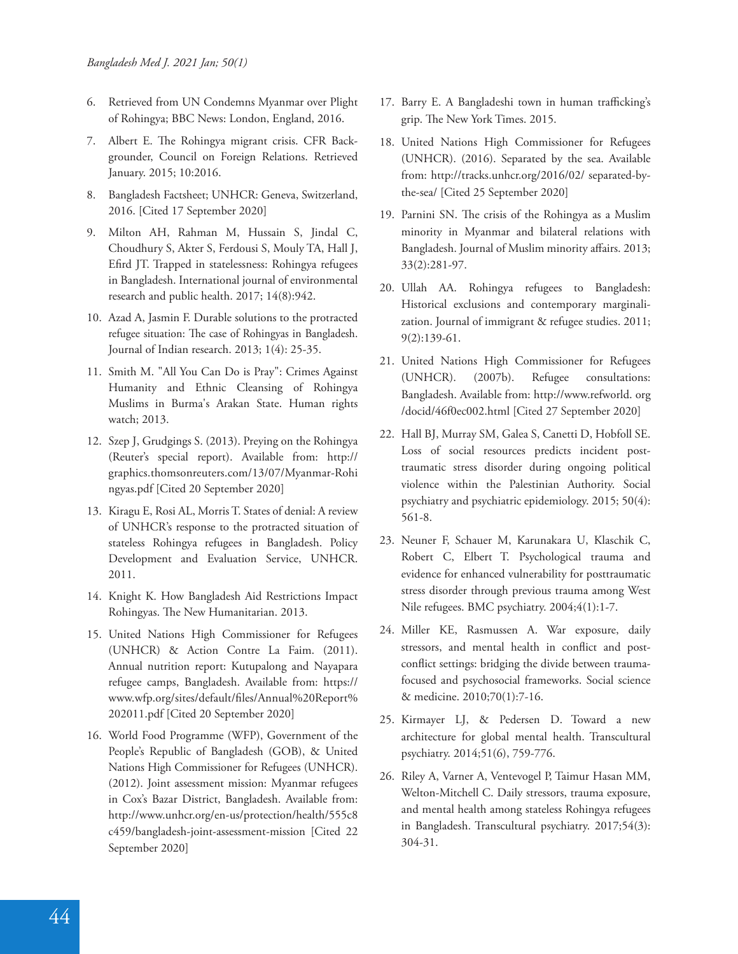- 6. Retrieved from UN Condemns Myanmar over Plight of Rohingya; BBC News: London, England, 2016.
- 7. Albert E. The Rohingya migrant crisis. CFR Backgrounder, Council on Foreign Relations. Retrieved January. 2015; 10:2016.
- 8. Bangladesh Factsheet; UNHCR: Geneva, Switzerland, 2016. [Cited 17 September 2020]
- 9. Milton AH, Rahman M, Hussain S, Jindal C, Choudhury S, Akter S, Ferdousi S, Mouly TA, Hall J, Efird JT. Trapped in statelessness: Rohingya refugees in Bangladesh. International journal of environmental research and public health. 2017; 14(8):942.
- 10. Azad A, Jasmin F. Durable solutions to the protracted refugee situation: The case of Rohingyas in Bangladesh. Journal of Indian research. 2013; 1(4): 25-35.
- 11. Smith M. "All You Can Do is Pray": Crimes Against Humanity and Ethnic Cleansing of Rohingya Muslims in Burma's Arakan State. Human rights watch; 2013.
- 12. Szep J, Grudgings S. (2013). Preying on the Rohingya (Reuter's special report). Available from: http:// graphics.thomsonreuters.com/13/07/Myanmar-Rohi ngyas.pdf [Cited 20 September 2020]
- 13. Kiragu E, Rosi AL, Morris T. States of denial: A review of UNHCR's response to the protracted situation of stateless Rohingya refugees in Bangladesh. Policy Development and Evaluation Service, UNHCR. 2011.
- 14. Knight K. How Bangladesh Aid Restrictions Impact Rohingyas. The New Humanitarian. 2013.
- 15. United Nations High Commissioner for Refugees (UNHCR) & Action Contre La Faim. (2011). Annual nutrition report: Kutupalong and Nayapara refugee camps, Bangladesh. Available from: https:// www.wfp.org/sites/default/files/Annual%20Report% 202011.pdf [Cited 20 September 2020]
- 16. World Food Programme (WFP), Government of the People's Republic of Bangladesh (GOB), & United Nations High Commissioner for Refugees (UNHCR). (2012). Joint assessment mission: Myanmar refugees in Cox's Bazar District, Bangladesh. Available from: http://www.unhcr.org/en-us/protection/health/555c8 c459/bangladesh-joint-assessment-mission [Cited 22 September 2020]
- 17. Barry E. A Bangladeshi town in human trafficking's grip. The New York Times. 2015.
- 18. United Nations High Commissioner for Refugees (UNHCR). (2016). Separated by the sea. Available from: http://tracks.unhcr.org/2016/02/ separated-bythe-sea/ [Cited 25 September 2020]
- 19. Parnini SN. The crisis of the Rohingya as a Muslim minority in Myanmar and bilateral relations with Bangladesh. Journal of Muslim minority affairs. 2013; 33(2):281-97.
- 20. Ullah AA. Rohingya refugees to Bangladesh: Historical exclusions and contemporary marginalization. Journal of immigrant & refugee studies. 2011; 9(2):139-61.
- 21. United Nations High Commissioner for Refugees (UNHCR). (2007b). Refugee consultations: Bangladesh. Available from: http://www.refworld. org /docid/46f0ec002.html [Cited 27 September 2020]
- 22. Hall BJ, Murray SM, Galea S, Canetti D, Hobfoll SE. Loss of social resources predicts incident posttraumatic stress disorder during ongoing political violence within the Palestinian Authority. Social psychiatry and psychiatric epidemiology. 2015; 50(4): 561-8.
- 23. Neuner F, Schauer M, Karunakara U, Klaschik C, Robert C, Elbert T. Psychological trauma and evidence for enhanced vulnerability for posttraumatic stress disorder through previous trauma among West Nile refugees. BMC psychiatry. 2004;4(1):1-7.
- 24. Miller KE, Rasmussen A. War exposure, daily stressors, and mental health in conflict and postconflict settings: bridging the divide between traumafocused and psychosocial frameworks. Social science & medicine. 2010;70(1):7-16.
- 25. Kirmayer LJ, & Pedersen D. Toward a new architecture for global mental health. Transcultural psychiatry. 2014;51(6), 759-776.
- 26. Riley A, Varner A, Ventevogel P, Taimur Hasan MM, Welton-Mitchell C. Daily stressors, trauma exposure, and mental health among stateless Rohingya refugees in Bangladesh. Transcultural psychiatry. 2017;54(3): 304-31.